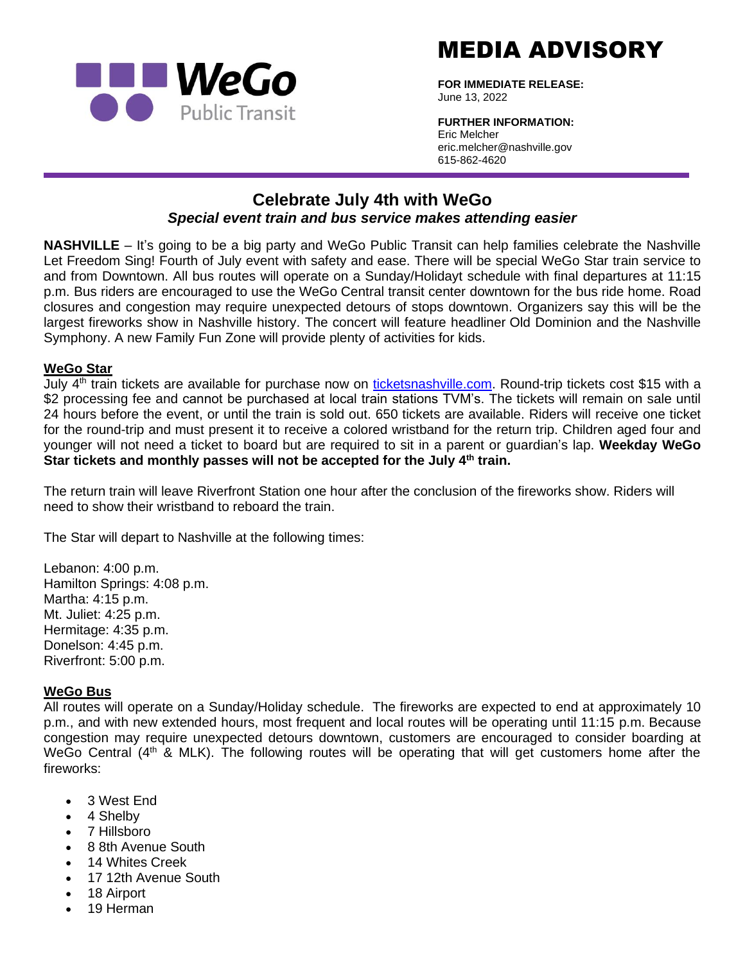

# MEDIA ADVISORY

**FOR IMMEDIATE RELEASE:** June 13, 2022

**FURTHER INFORMATION:** Eric Melcher eric.melcher@nashville.gov 615-862-4620

# **Celebrate July 4th with WeGo** *Special event train and bus service makes attending easier*

**NASHVILLE** – It's going to be a big party and WeGo Public Transit can help families celebrate the Nashville Let Freedom Sing! Fourth of July event with safety and ease. There will be special WeGo Star train service to and from Downtown. All bus routes will operate on a Sunday/Holidayt schedule with final departures at 11:15 p.m. Bus riders are encouraged to use the WeGo Central transit center downtown for the bus ride home. Road closures and congestion may require unexpected detours of stops downtown. Organizers say this will be the largest fireworks show in Nashville history. The concert will feature headliner Old Dominion and the Nashville Symphony. A new Family Fun Zone will provide plenty of activities for kids.

## **WeGo Star**

July 4<sup>th</sup> train tickets are available for purchase now on [ticketsnashville.com.](https://ticketsnashville.com/event/july-4th-wego-star-excursion-train-339003/) Round-trip tickets cost \$15 with a \$2 processing fee and cannot be purchased at local train stations TVM's. The tickets will remain on sale until 24 hours before the event, or until the train is sold out. 650 tickets are available. Riders will receive one ticket for the round-trip and must present it to receive a colored wristband for the return trip. Children aged four and younger will not need a ticket to board but are required to sit in a parent or guardian's lap. **Weekday WeGo Star tickets and monthly passes will not be accepted for the July 4th train.**

The return train will leave Riverfront Station one hour after the conclusion of the fireworks show. Riders will need to show their wristband to reboard the train.

The Star will depart to Nashville at the following times:

Lebanon: 4:00 p.m. Hamilton Springs: 4:08 p.m. Martha: 4:15 p.m. Mt. Juliet: 4:25 p.m. Hermitage: 4:35 p.m. Donelson: 4:45 p.m. Riverfront: 5:00 p.m.

#### **WeGo Bus**

All routes will operate on a Sunday/Holiday schedule. The fireworks are expected to end at approximately 10 p.m., and with new extended hours, most frequent and local routes will be operating until 11:15 p.m. Because congestion may require unexpected detours downtown, customers are encouraged to consider boarding at WeGo Central (4<sup>th</sup> & MLK). The following routes will be operating that will get customers home after the fireworks:

- 3 West End
- 4 Shelby
- 7 Hillsboro
- 8 8th Avenue South
- 14 Whites Creek
- 17 12th Avenue South
- 18 Airport
- 19 Herman